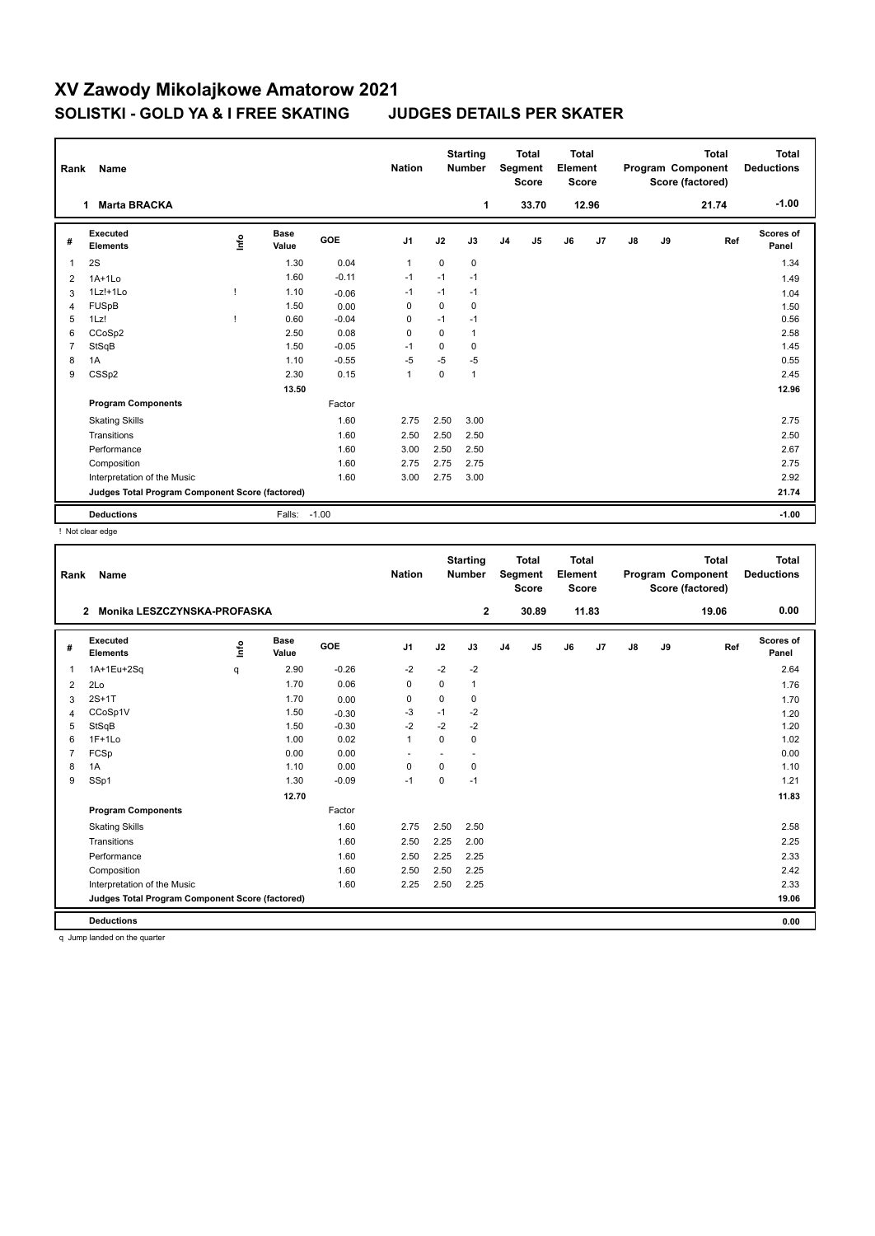## **XV Zawody Mikolajkowe Amatorow 2021 SOLISTKI - GOLD YA & I FREE SKATING JUDGES DETAILS PER SKATER**

| Rank           | Name                                            |      |                      |            | <b>Nation</b>  |             | <b>Starting</b><br><b>Number</b> |                | <b>Total</b><br>Segment<br><b>Score</b> | <b>Total</b><br>Element<br>Score |                |       |    | <b>Total</b><br>Program Component<br>Score (factored) | <b>Total</b><br><b>Deductions</b> |
|----------------|-------------------------------------------------|------|----------------------|------------|----------------|-------------|----------------------------------|----------------|-----------------------------------------|----------------------------------|----------------|-------|----|-------------------------------------------------------|-----------------------------------|
|                | <b>Marta BRACKA</b><br>1                        |      |                      |            |                |             | 1                                |                | 33.70                                   |                                  | 12.96          |       |    | 21.74                                                 | $-1.00$                           |
| #              | Executed<br><b>Elements</b>                     | ١nf٥ | <b>Base</b><br>Value | <b>GOE</b> | J1             | J2          | J3                               | J <sub>4</sub> | J <sub>5</sub>                          | J6                               | J <sub>7</sub> | J8    | J9 | Ref                                                   | <b>Scores of</b><br>Panel         |
| 1              | 2S                                              |      | 1.30                 | 0.04       | $\overline{1}$ | $\mathbf 0$ | 0                                |                |                                         |                                  |                |       |    |                                                       | 1.34                              |
| 2              | $1A+1Lo$                                        |      | 1.60                 | $-0.11$    | $-1$           | $-1$        | $-1$                             |                |                                         |                                  |                |       |    |                                                       | 1.49                              |
| 3              | $1Lz! + 1Lo$                                    |      | 1.10                 | $-0.06$    | $-1$           | $-1$        | $-1$                             |                |                                         |                                  |                |       |    |                                                       | 1.04                              |
| 4              | <b>FUSpB</b>                                    |      | 1.50                 | 0.00       | 0              | $\Omega$    | 0                                |                |                                         |                                  |                |       |    |                                                       | 1.50                              |
| 5              | 1Lz!                                            |      | 0.60                 | $-0.04$    | 0              | $-1$        | $-1$                             |                |                                         |                                  |                |       |    |                                                       | 0.56                              |
| 6              | CCoSp2                                          |      | 2.50                 | 0.08       | $\Omega$       | $\Omega$    | $\mathbf{1}$                     |                |                                         |                                  |                |       |    |                                                       | 2.58                              |
| $\overline{7}$ | StSqB                                           |      | 1.50                 | $-0.05$    | -1             | $\Omega$    | $\Omega$                         |                |                                         |                                  |                |       |    |                                                       | 1.45                              |
| 8              | 1A                                              |      | 1.10                 | $-0.55$    | $-5$           | $-5$        | $-5$                             |                |                                         |                                  |                |       |    |                                                       | 0.55                              |
| 9              | CSS <sub>p2</sub>                               |      | 2.30                 | 0.15       | $\mathbf{1}$   | 0           | $\mathbf{1}$                     |                |                                         |                                  |                |       |    |                                                       | 2.45                              |
|                |                                                 |      | 13.50                |            |                |             |                                  |                |                                         |                                  |                |       |    |                                                       | 12.96                             |
|                | <b>Program Components</b>                       |      |                      | Factor     |                |             |                                  |                |                                         |                                  |                |       |    |                                                       |                                   |
|                | <b>Skating Skills</b>                           |      |                      | 1.60       | 2.75           | 2.50        | 3.00                             |                |                                         |                                  |                |       |    |                                                       | 2.75                              |
|                | Transitions                                     |      |                      | 1.60       | 2.50           | 2.50        | 2.50                             |                |                                         |                                  |                |       |    |                                                       | 2.50                              |
|                | Performance                                     |      |                      | 1.60       | 3.00           | 2.50        | 2.50                             |                |                                         |                                  |                |       |    |                                                       | 2.67                              |
|                | Composition                                     |      |                      | 1.60       | 2.75           | 2.75        | 2.75                             |                |                                         |                                  |                |       |    |                                                       | 2.75                              |
|                | Interpretation of the Music                     |      |                      | 1.60       | 3.00           | 2.75        | 3.00                             |                |                                         |                                  |                |       |    |                                                       | 2.92                              |
|                | Judges Total Program Component Score (factored) |      |                      |            |                |             |                                  |                |                                         |                                  |                | 21.74 |    |                                                       |                                   |
|                | <b>Deductions</b>                               |      | Falls:               | $-1.00$    |                |             |                                  |                |                                         |                                  |                |       |    |                                                       | $-1.00$                           |

! Not clear edge

| Rank           | Name                                            |    |                      |         | <b>Nation</b> |             | <b>Starting</b><br><b>Number</b> |                | <b>Total</b><br>Segment<br><b>Score</b> | <b>Total</b><br>Element<br><b>Score</b> |       |    |    | <b>Total</b><br>Program Component<br>Score (factored) | <b>Total</b><br><b>Deductions</b> |
|----------------|-------------------------------------------------|----|----------------------|---------|---------------|-------------|----------------------------------|----------------|-----------------------------------------|-----------------------------------------|-------|----|----|-------------------------------------------------------|-----------------------------------|
|                | Monika LESZCZYNSKA-PROFASKA<br>$\overline{2}$   |    |                      |         |               |             | $\mathbf{2}$                     |                | 30.89                                   |                                         | 11.83 |    |    | 19.06                                                 | 0.00                              |
| #              | Executed<br><b>Elements</b>                     | ۴ô | <b>Base</b><br>Value | GOE     | J1            | J2          | J3                               | J <sub>4</sub> | J <sub>5</sub>                          | J6                                      | J7    | J8 | J9 | Ref                                                   | <b>Scores of</b><br>Panel         |
| $\mathbf{1}$   | 1A+1Eu+2Sq                                      | q  | 2.90                 | $-0.26$ | $-2$          | $-2$        | $-2$                             |                |                                         |                                         |       |    |    |                                                       | 2.64                              |
| 2              | 2Lo                                             |    | 1.70                 | 0.06    | 0             | $\Omega$    | $\mathbf{1}$                     |                |                                         |                                         |       |    |    |                                                       | 1.76                              |
| 3              | $2S+1T$                                         |    | 1.70                 | 0.00    | 0             | 0           | 0                                |                |                                         |                                         |       |    |    |                                                       | 1.70                              |
| 4              | CCoSp1V                                         |    | 1.50                 | $-0.30$ | -3            | $-1$        | $-2$                             |                |                                         |                                         |       |    |    |                                                       | 1.20                              |
| 5              | StSqB                                           |    | 1.50                 | $-0.30$ | $-2$          | $-2$        | $-2$                             |                |                                         |                                         |       |    |    |                                                       | 1.20                              |
| 6              | $1F+1Lo$                                        |    | 1.00                 | 0.02    | $\mathbf{1}$  | $\Omega$    | 0                                |                |                                         |                                         |       |    |    |                                                       | 1.02                              |
| $\overline{7}$ | FCSp                                            |    | 0.00                 | 0.00    |               |             |                                  |                |                                         |                                         |       |    |    |                                                       | 0.00                              |
| 8              | 1A                                              |    | 1.10                 | 0.00    | $\mathbf 0$   | $\mathbf 0$ | 0                                |                |                                         |                                         |       |    |    |                                                       | 1.10                              |
| 9              | SSp1                                            |    | 1.30                 | $-0.09$ | $-1$          | 0           | $-1$                             |                |                                         |                                         |       |    |    |                                                       | 1.21                              |
|                |                                                 |    | 12.70                |         |               |             |                                  |                |                                         |                                         |       |    |    |                                                       | 11.83                             |
|                | <b>Program Components</b>                       |    |                      | Factor  |               |             |                                  |                |                                         |                                         |       |    |    |                                                       |                                   |
|                | <b>Skating Skills</b>                           |    |                      | 1.60    | 2.75          | 2.50        | 2.50                             |                |                                         |                                         |       |    |    |                                                       | 2.58                              |
|                | Transitions                                     |    |                      | 1.60    | 2.50          | 2.25        | 2.00                             |                |                                         |                                         |       |    |    |                                                       | 2.25                              |
|                | Performance                                     |    |                      | 1.60    | 2.50          | 2.25        | 2.25                             |                |                                         |                                         |       |    |    |                                                       | 2.33                              |
|                | Composition                                     |    |                      | 1.60    | 2.50          | 2.50        | 2.25                             |                |                                         |                                         |       |    |    |                                                       | 2.42                              |
|                | Interpretation of the Music                     |    |                      | 1.60    | 2.25          | 2.50        | 2.25                             |                |                                         |                                         |       |    |    |                                                       | 2.33                              |
|                | Judges Total Program Component Score (factored) |    |                      |         |               |             |                                  |                |                                         |                                         |       |    |    |                                                       | 19.06                             |
|                | <b>Deductions</b>                               |    |                      |         |               |             |                                  |                |                                         |                                         |       |    |    |                                                       | 0.00                              |
|                | a thread localized on this experience           |    |                      |         |               |             |                                  |                |                                         |                                         |       |    |    |                                                       |                                   |

q Jump landed on the quarter